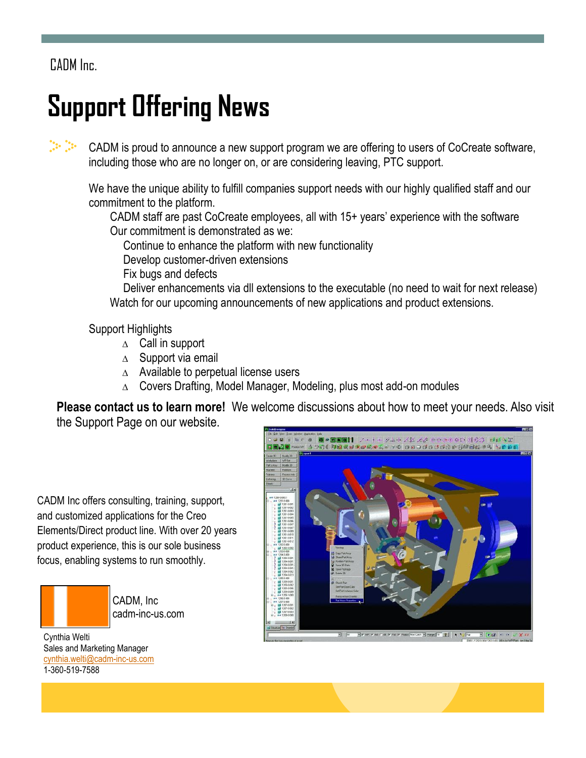CADM Inc.

## **Support Offering News**

 $\mathbb{C}^{\mathbb{Z}}$  ,  $\mathbb{C}^{\mathbb{Z}}$ CADM is proud to announce a new support program we are offering to users of CoCreate software, including those who are no longer on, or are considering leaving, PTC support.

We have the unique ability to fulfill companies support needs with our highly qualified staff and our commitment to the platform.

CADM staff are past CoCreate employees, all with 15+ years' experience with the software Our commitment is demonstrated as we:

Continue to enhance the platform with new functionality

Develop customer-driven extensions

Fix bugs and defects

Deliver enhancements via dll extensions to the executable (no need to wait for next release) Watch for our upcoming announcements of new applications and product extensions.

Support Highlights

- $\triangle$  Call in support
- $\triangle$  Support via email
- $\triangle$  Available to perpetual license users
- $\triangle$  Covers Drafting, Model Manager, Modeling, plus most add-on modules

**Please contact us to learn more!** We welcome discussions about how to meet your needs. Also visit the Support Page on our website.

CADM Inc offers consulting, training, support, and customized applications for the Creo Elements/Direct product line. With over 20 years product experience, this is our sole business focus, enabling systems to run smoothly.



CADM, Inc cadm-inc-us.com

Cynthia Welti Sales and Marketing Manager c[ynthia.welti@cadm-inc-us.com](mailto:Cynthia.welti@cadm-inc-us.com) 1-360-519-7588